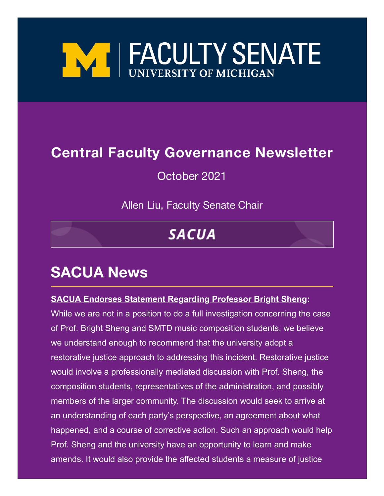

### **Central Faculty Governance Newsletter**

October 2021

Allen Liu, Faculty Senate Chair

# **SACUA**

# **SACUA News**

#### **SACUA Endorses Statement Regarding Professor Bright Sheng:**

While we are not in a position to do a full investigation concerning the case of Prof. Bright Sheng and SMTD music composition students, we believe we understand enough to recommend that the university adopt a restorative justice approach to addressing this incident. Restorative justice would involve a professionally mediated discussion with Prof. Sheng, the composition students, representatives of the administration, and possibly members of the larger community. The discussion would seek to arrive at an understanding of each party's perspective, an agreement about what happened, and a course of corrective action. Such an approach would help Prof. Sheng and the university have an opportunity to learn and make amends. It would also provide the affected students a measure of justice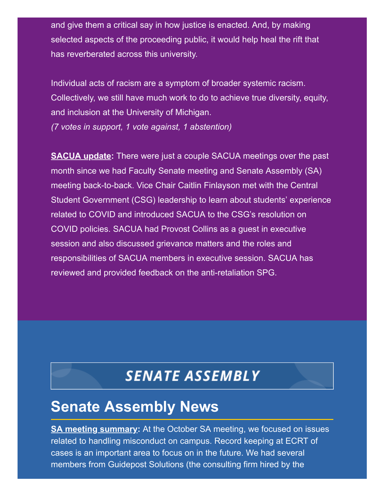and give them a critical say in how justice is enacted. And, by making selected aspects of the proceeding public, it would help heal the rift that has reverberated across this university.

Individual acts of racism are a symptom of broader systemic racism. Collectively, we still have much work to do to achieve true diversity, equity, and inclusion at the University of Michigan. *(7 votes in support, 1 vote against, 1 abstention)*

**SACUA update:** There were just a couple SACUA meetings over the past month since we had Faculty Senate meeting and Senate Assembly (SA) meeting back-to-back. Vice Chair Caitlin Finlayson met with the Central Student Government (CSG) leadership to learn about students' experience related to COVID and introduced SACUA to the CSG's resolution on COVID policies. SACUA had Provost Collins as a guest in executive session and also discussed grievance matters and the roles and responsibilities of SACUA members in executive session. SACUA has reviewed and provided feedback on the anti-retaliation SPG.

## **SENATE ASSEMBLY**

## **Senate Assembly News**

**SA meeting summary:** At the October SA meeting, we focused on issues related to handling misconduct on campus. Record keeping at ECRT of cases is an important area to focus on in the future. We had several members from Guidepost Solutions (the consulting firm hired by the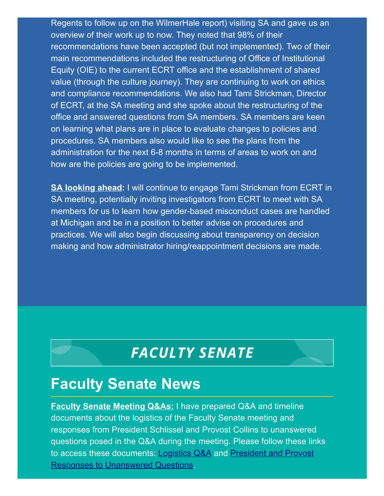Regents to follow up on the WilmerHale report) visiting SA and gave us an overview of their work up to now. They noted that 98% of their recommendations have been accepted (but not implemented). Two of their main recommendations included the restructuring of Office of Institutional Equity (OIE) to the current ECRT office and the establishment of shared value (through the culture journey). They are continuing to work on ethics and compliance recommendations. We also had Tami Strickman, Director of ECRT, at the SA meeting and she spoke about the restructuring of the office and answered questions from SA members. SA members are keen on learning what plans are in place to evaluate changes to policies and procedures. SA members also would like to see the plans from the administration for the next 6-8 months in terms of areas to work on and how are the policies are going to be implemented.

**SA looking ahead:** I will continue to engage Tami Strickman from ECRT in SA meeting, potentially inviting investigators from ECRT to meet with SA members for us to learn how gender-based misconduct cases are handled at Michigan and be in a position to better advise on procedures and practices. We will also begin discussing about transparency on decision making and how administrator hiring/reappointment decisions are made.

## **FACULTY SENATE**

#### **Faculty Senate News**

**Faculty Senate Meeting Q&As:** I have prepared Q&A and timeline documents about the logistics of the Faculty Senate meeting and responses from President Schlissel and Provost Collins to unanswered questions posed in the Q&A during the meeting. Please follow these links [to access these documents:](https://facultysenate.umich.edu/wp-content/uploads/2021/10/PresidentProvost_QA_FacultySenateMeeting-1.pdf) [Logistics Q&](https://facultysenate.umich.edu/wp-content/uploads/2021/10/FacultySenateMeeting_QA.pdf)[A](https://facultysenate.umich.edu/wp-content/uploads/2021/10/PresidentProvost_QA_FacultySenateMeeting-1.pdf) and President and Provost Responses to Unanswered Questions.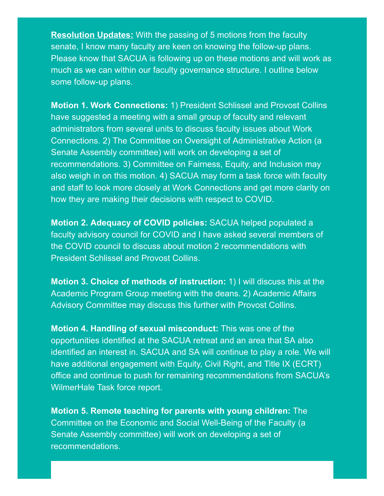**Resolution Updates:** With the passing of 5 motions from the faculty senate, I know many faculty are keen on knowing the follow-up plans. Please know that SACUA is following up on these motions and will work as much as we can within our faculty governance structure. I outline below some follow-up plans.

**Motion 1. Work Connections:** 1) President Schlissel and Provost Collins have suggested a meeting with a small group of faculty and relevant administrators from several units to discuss faculty issues about Work Connections. 2) The Committee on Oversight of Administrative Action (a Senate Assembly committee) will work on developing a set of recommendations. 3) Committee on Fairness, Equity, and Inclusion may also weigh in on this motion. 4) SACUA may form a task force with faculty and staff to look more closely at Work Connections and get more clarity on how they are making their decisions with respect to COVID.

**Motion 2. Adequacy of COVID policies:** SACUA helped populated a faculty advisory council for COVID and I have asked several members of the COVID council to discuss about motion 2 recommendations with President Schlissel and Provost Collins.

**Motion 3. Choice of methods of instruction:** 1) I will discuss this at the Academic Program Group meeting with the deans. 2) Academic Affairs Advisory Committee may discuss this further with Provost Collins.

**Motion 4. Handling of sexual misconduct:** This was one of the opportunities identified at the SACUA retreat and an area that SA also identified an interest in. SACUA and SA will continue to play a role. We will have additional engagement with Equity, Civil Right, and Title IX (ECRT) office and continue to push for remaining recommendations from SACUA's WilmerHale Task force report.

**Motion 5. Remote teaching for parents with young children:** The Committee on the Economic and Social Well-Being of the Faculty (a Senate Assembly committee) will work on developing a set of recommendations.